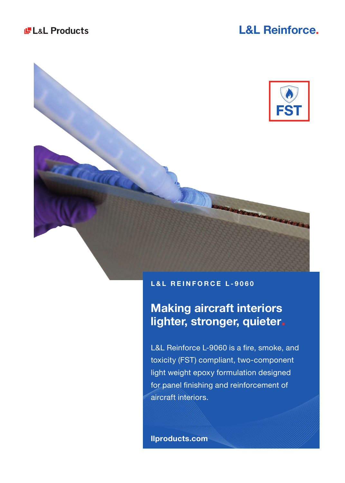# **L&L Reinforce.**



## **L&L REINFORCE L-9060**

# **Making aircraft interiors lighter, stronger, quieter.**

L&L Reinforce L-9060 is a fire, smoke, and toxicity (FST) compliant, two-component light weight epoxy formulation designed for panel finishing and reinforcement of aircraft interiors.

**llproducts.com**